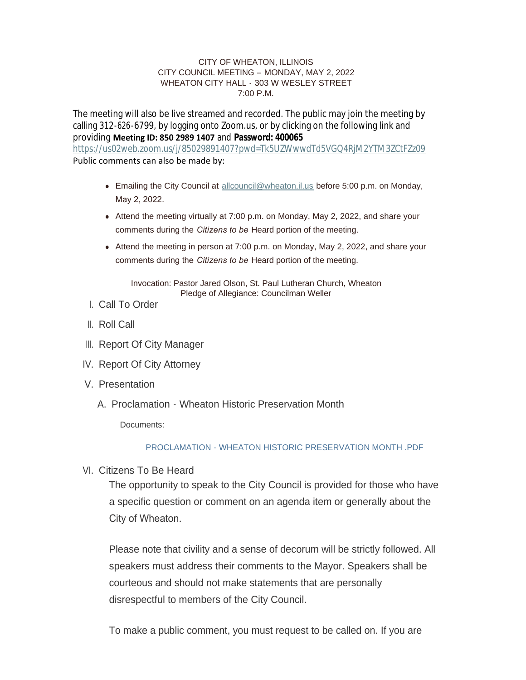#### CITY OF WHEATON, ILLINOIS CITY COUNCIL MEETING – MONDAY, MAY 2, 2022 WHEATON CITY HALL - 303 W WESLEY STREET 7:00 P.M.

The meeting will also be live streamed and recorded. The public may join the meeting by calling 312-626-6799, by logging onto Zoom.us, or by clicking on the following link and providing **Meeting ID: 850 2989 1407** and **Password: 400065** <https://us02web.zoom.us/j/85029891407?pwd=Tk5UZWwwdTd5VGQ4RjM2YTM3ZCtFZz09> Public comments can also be made by:

- **Emailing the City Council at [allcouncil@wheaton.il.us](mailto:allcouncil@wheaton.il.us) before 5:00 p.m. on Monday,** May 2, 2022.
- Attend the meeting virtually at 7:00 p.m. on Monday, May 2, 2022, and share your comments during the *Citizens to be* Heard portion of the meeting.
- $\bullet$  Attend the meeting in person at 7:00 p.m. on Monday, May 2, 2022, and share your comments during the *Citizens to be* Heard portion of the meeting.

Invocation: Pastor Jared Olson, St. Paul Lutheran Church, Wheaton Pledge of Allegiance: Councilman Weller

- Call To Order I.
- ll. Roll Call
- III. Report Of City Manager
- IV. Report Of City Attorney
- V. Presentation
	- A. Proclamation Wheaton Historic Preservation Month

Documents:

## PROCLAMATION - WHEATON HISTORIC PRESERVATION MONTH PDF

VI. Citizens To Be Heard

The opportunity to speak to the City Council is provided for those who have a specific question or comment on an agenda item or generally about the City of Wheaton.

Please note that civility and a sense of decorum will be strictly followed. All speakers must address their comments to the Mayor. Speakers shall be courteous and should not make statements that are personally disrespectful to members of the City Council.

To make a public comment, you must request to be called on. If you are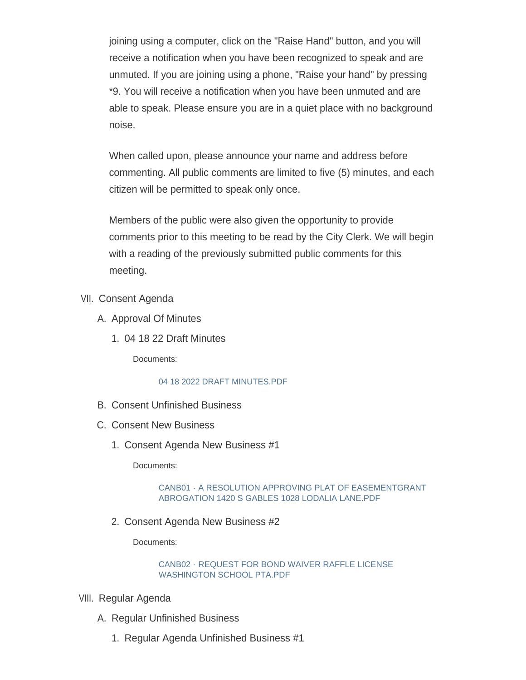joining using a computer, click on the "Raise Hand" button, and you will receive a notification when you have been recognized to speak and are unmuted. If you are joining using a phone, "Raise your hand" by pressing \*9. You will receive a notification when you have been unmuted and are able to speak. Please ensure you are in a quiet place with no background noise.

When called upon, please announce your name and address before commenting. All public comments are limited to five (5) minutes, and each citizen will be permitted to speak only once.

Members of the public were also given the opportunity to provide comments prior to this meeting to be read by the City Clerk. We will begin with a reading of the previously submitted public comments for this meeting.

- VII. Consent Agenda
	- A. Approval Of Minutes
		- 04 18 22 Draft Minutes 1.

Documents:

## [04 18 2022 DRAFT MINUTES.PDF](https://www.wheaton.il.us/AgendaCenter/ViewFile/Item/8928?fileID=11400)

- B. Consent Unfinished Business
- C. Consent New Business
	- 1. Consent Agenda New Business #1

Documents:

## [CANB01 - A RESOLUTION APPROVING PLAT OF EASEMENTGRANT](https://www.wheaton.il.us/AgendaCenter/ViewFile/Item/8931?fileID=11401)  ABROGATION 1420 S GABLES 1028 LODALIA LANE.PDF

2. Consent Agenda New Business #2

Documents:

## [CANB02 - REQUEST FOR BOND WAIVER RAFFLE LICENSE](https://www.wheaton.il.us/AgendaCenter/ViewFile/Item/8932?fileID=11402)  WASHINGTON SCHOOL PTA.PDF

- VIII. Regular Agenda
	- A. Regular Unfinished Business
		- 1. Regular Agenda Unfinished Business #1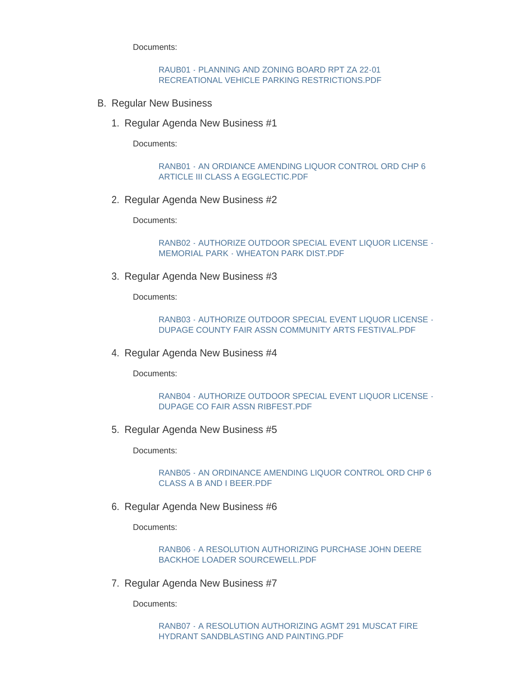Documents:

#### [RAUB01 - PLANNING AND ZONING BOARD RPT ZA 22-01](https://www.wheaton.il.us/AgendaCenter/ViewFile/Item/8935?fileID=11403)  RECREATIONAL VEHICLE PARKING RESTRICTIONS.PDF

- B. Regular New Business
	- 1. Regular Agenda New Business #1

Documents:

[RANB01 - AN ORDIANCE AMENDING LIQUOR CONTROL ORD CHP 6](https://www.wheaton.il.us/AgendaCenter/ViewFile/Item/8937?fileID=11404)  ARTICLE III CLASS A EGGLECTIC.PDF

2. Regular Agenda New Business #2

Documents:

[RANB02 - AUTHORIZE OUTDOOR SPECIAL EVENT LIQUOR LICENSE -](https://www.wheaton.il.us/AgendaCenter/ViewFile/Item/8938?fileID=11405) MEMORIAL PARK - WHEATON PARK DIST.PDF

3. Regular Agenda New Business #3

Documents:

[RANB03 - AUTHORIZE OUTDOOR SPECIAL EVENT LIQUOR LICENSE -](https://www.wheaton.il.us/AgendaCenter/ViewFile/Item/8939?fileID=11406) DUPAGE COUNTY FAIR ASSN COMMUNITY ARTS FESTIVAL.PDF

4. Regular Agenda New Business #4

Documents:

[RANB04 - AUTHORIZE OUTDOOR SPECIAL EVENT LIQUOR LICENSE -](https://www.wheaton.il.us/AgendaCenter/ViewFile/Item/8940?fileID=11407) DUPAGE CO FAIR ASSN RIBFEST.PDF

5. Regular Agenda New Business #5

Documents:

[RANB05 - AN ORDINANCE AMENDING LIQUOR CONTROL ORD CHP 6](https://www.wheaton.il.us/AgendaCenter/ViewFile/Item/8941?fileID=11408)  CLASS A B AND I BEER.PDF

6. Regular Agenda New Business #6

Documents:

[RANB06 - A RESOLUTION AUTHORIZING PURCHASE JOHN DEERE](https://www.wheaton.il.us/AgendaCenter/ViewFile/Item/8942?fileID=11409)  BACKHOE LOADER SOURCEWELL.PDF

7. Regular Agenda New Business #7

Documents:

[RANB07 - A RESOLUTION AUTHORIZING AGMT 291 MUSCAT FIRE](https://www.wheaton.il.us/AgendaCenter/ViewFile/Item/8943?fileID=11410)  HYDRANT SANDBLASTING AND PAINTING.PDF